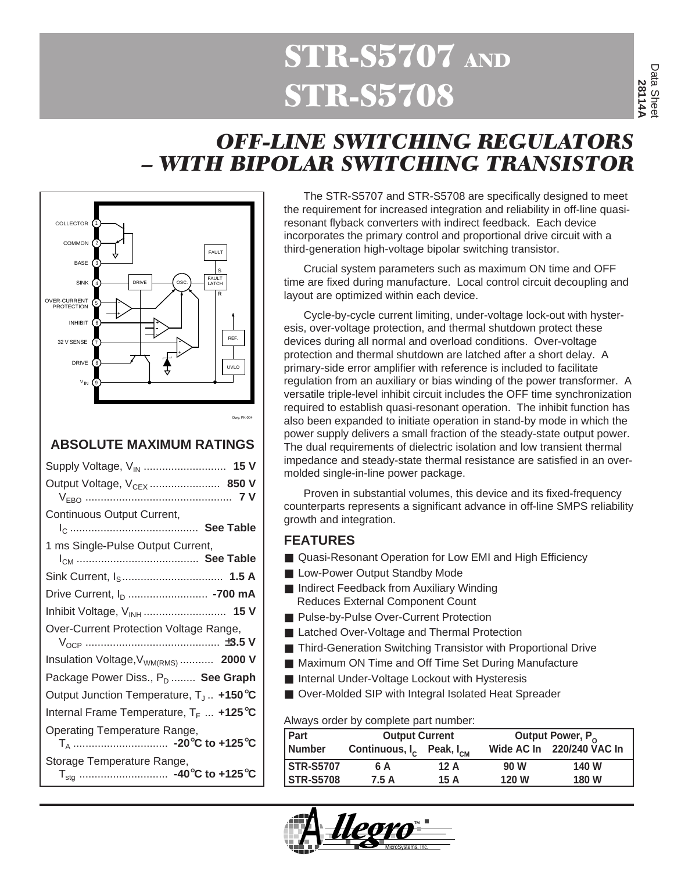## *QUASI-RESONANT FLYBACK* **OFF-LINE STR-S5708** STR-S5707 AND STR-S5707 AND STR-S5707 AND STR-S5707 AND STR-S5707 AND STR-S *QUASI-RESONANT FLYBACK*

# *OFF-LINE SWITCHING REGULATORS – WITH BIPOLAR SWITCHING TRANSISTOR*



#### **ABSOLUTE MAXIMUM RATINGS**

| Supply Voltage, V <sub>IN</sub> 15 V                |
|-----------------------------------------------------|
| Output Voltage, V <sub>CEX</sub> 850 V              |
| Continuous Output Current,                          |
| 1 ms Single-Pulse Output Current,                   |
|                                                     |
| Drive Current, I <sub>D</sub> -700 mA               |
| Inhibit Voltage, V <sub>INH</sub> 15 V              |
| Over-Current Protection Voltage Range,              |
| Insulation Voltage, V <sub>WM(RMS)</sub> 2000 V     |
| Package Power Diss., P <sub>D</sub> See Graph       |
| Output Junction Temperature, $T_J$ +150 $\degree$ C |
| Internal Frame Temperature, $T_F$ +125°C            |
| Operating Temperature Range,                        |
| Storage Temperature Range,                          |

The STR-S5707 and STR-S5708 are specifically designed to meet the requirement for increased integration and reliability in off-line quasiresonant flyback converters with indirect feedback. Each device incorporates the primary control and proportional drive circuit with a third-generation high-voltage bipolar switching transistor.

Crucial system parameters such as maximum ON time and OFF time are fixed during manufacture. Local control circuit decoupling and layout are optimized within each device.

Cycle-by-cycle current limiting, under-voltage lock-out with hysteresis, over-voltage protection, and thermal shutdown protect these devices during all normal and overload conditions. Over-voltage protection and thermal shutdown are latched after a short delay. A primary-side error amplifier with reference is included to facilitate regulation from an auxiliary or bias winding of the power transformer. A versatile triple-level inhibit circuit includes the OFF time synchronization required to establish quasi-resonant operation. The inhibit function has also been expanded to initiate operation in stand-by mode in which the power supply delivers a small fraction of the steady-state output power. The dual requirements of dielectric isolation and low transient thermal impedance and steady-state thermal resistance are satisfied in an overmolded single-in-line power package.

Proven in substantial volumes, this device and its fixed-frequency counterparts represents a significant advance in off-line SMPS reliability growth and integration.

#### **FEATURES**

- Quasi-Resonant Operation for Low EMI and High Efficiency
- Low-Power Output Standby Mode
- Indirect Feedback from Auxiliary Winding Reduces External Component Count
- Pulse-by-Pulse Over-Current Protection
- Latched Over-Voltage and Thermal Protection
- Third-Generation Switching Transistor with Proportional Drive
- Maximum ON Time and Off Time Set During Manufacture
- Internal Under-Voltage Lockout with Hysteresis
- Over-Molded SIP with Integral Isolated Heat Spreader

Always order by complete part number:

| <b>Output Current</b> |      |                                                  | Output Power, P <sub>o</sub> |  |  |  |
|-----------------------|------|--------------------------------------------------|------------------------------|--|--|--|
|                       |      |                                                  | Wide AC In 220/240 VAC In    |  |  |  |
| 6 A                   | 12 A | 90 W                                             | 140 W                        |  |  |  |
| 7.5 A                 | 15 A | 120 W                                            | <b>180 W</b>                 |  |  |  |
|                       |      | Continuous, I <sub>c</sub> Peak, I <sub>cM</sub> |                              |  |  |  |

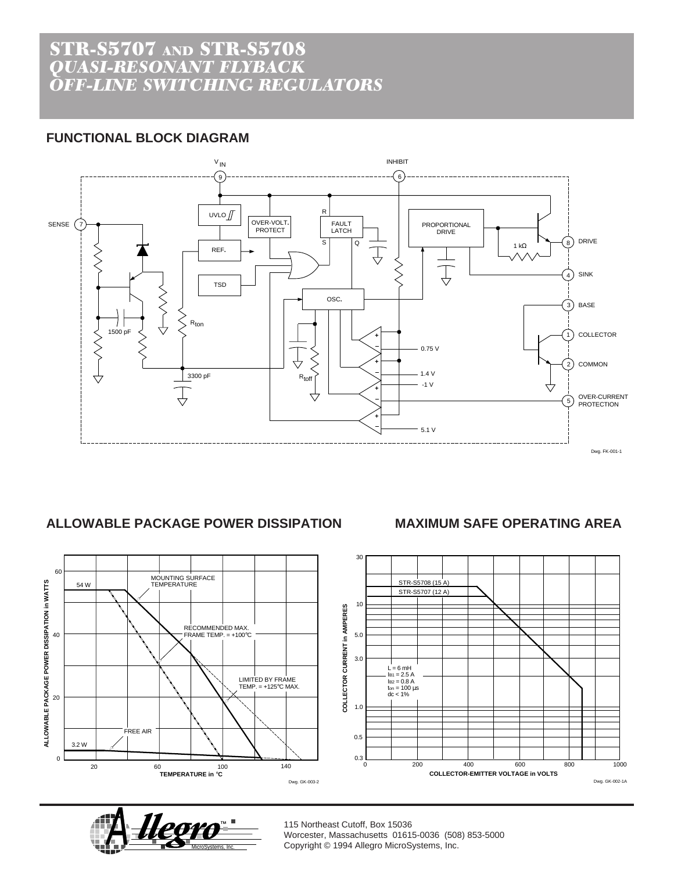### STR-S5707 AND STR-S5708 *QUASI-RESONANT FLYBACK OFF-LINE SWITCHING REGULATORS*

### **FUNCTIONAL BLOCK DIAGRAM**



#### **ALLOWABLE PACKAGE POWER DISSIPATION MAXIMUM SAFE OPERATING AREA**

60 MOUNTING SURFACE TEMPERATURE ALLOWABLE PACKAGE POWER DISSIPATION in WATTS **ALLOWABLE PACKAGE POWER DISSIPATION in WATTS** 54 W RECOMMENDED MAX. FRAME TEMP. = +100°C  $40$ LIMITED BY FRAME TEMP. = +125°C MAX. 20 FREE AIR 3.2 W 0 140 20 60 100 **TEMPERATURE in** °**C** Dwg. GK-003-2





115 Northeast Cutoff, Box 15036 Worcester, Massachusetts 01615-0036 (508) 853-5000 Copyright © 1994 Allegro MicroSystems, Inc. 115 Northeast Cutoff, Box 15036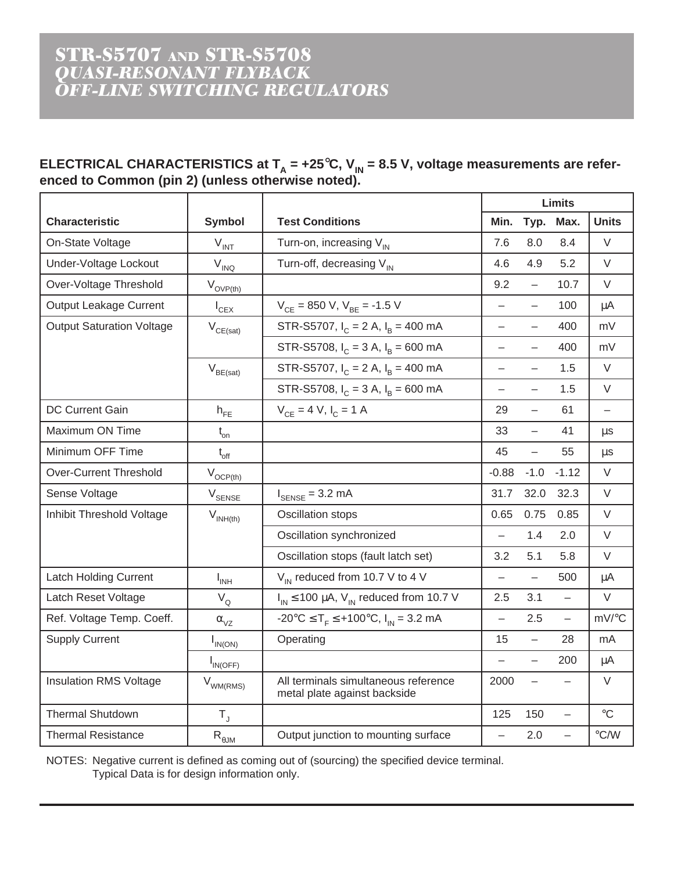#### STR-S5707 *QUASI-RESONANT FLYBACK OFF-LINE SWITCHING REGULATOR OFF-LINE SWITCHING REGULATORS* STR-S5707 AND STR-S5708 *QUASI-RESONANT FLYBACK*

#### ELECTRICAL CHARACTERISTICS at T<sub>A</sub> = +25°C, V<sub>IN</sub> = 8.5 V, voltage measurements are refer**enced to Common (pin 2) (unless otherwise noted).**

|                                  |                                          |                                                                      | <b>Limits</b>            |                          |                          |                          |
|----------------------------------|------------------------------------------|----------------------------------------------------------------------|--------------------------|--------------------------|--------------------------|--------------------------|
| <b>Characteristic</b>            | <b>Symbol</b>                            | <b>Test Conditions</b>                                               | Min.                     | Typ.                     | Max.                     | <b>Units</b>             |
| On-State Voltage                 | $V_{\text{INT}}$                         | Turn-on, increasing $V_{IN}$                                         | 7.6                      | 8.0                      | 8.4                      | V                        |
| Under-Voltage Lockout            | $V_{INQ}$                                | Turn-off, decreasing V <sub>IN</sub>                                 | 4.6                      | 4.9                      | 5.2                      | $\vee$                   |
| Over-Voltage Threshold           | $V_{\text{OVP(th)}}$                     |                                                                      | 9.2                      | $\overline{\phantom{0}}$ | 10.7                     | $\vee$                   |
| <b>Output Leakage Current</b>    | $I_{CEX}$                                | $V_{CE}$ = 850 V, $V_{BE}$ = -1.5 V                                  | $\overline{a}$           | $\overline{\phantom{0}}$ | 100                      | $\mu A$                  |
| <b>Output Saturation Voltage</b> | $\mathsf{V}_{\mathsf{CE}(\mathsf{sat})}$ | STR-S5707, $I_C = 2 A$ , $I_B = 400 mA$                              | $\overline{\phantom{0}}$ | $\overline{\phantom{0}}$ | 400                      | mV                       |
|                                  |                                          | STR-S5708, $I_C = 3 A$ , $I_R = 600 mA$                              | $\overline{\phantom{0}}$ | $\overline{\phantom{0}}$ | 400                      | mV                       |
|                                  | $\mathsf{V}_{\mathsf{BE}(\mathsf{sat})}$ | STR-S5707, $I_C = 2 A$ , $I_B = 400 mA$                              | $\overline{\phantom{0}}$ | $\overline{\phantom{0}}$ | 1.5                      | V                        |
|                                  |                                          | STR-S5708, $I_C = 3 A$ , $I_R = 600 mA$                              | $\overline{\phantom{0}}$ | $\overline{\phantom{0}}$ | 1.5                      | $\vee$                   |
| DC Current Gain                  | $\mathsf{h}_{\mathsf{FE}}$               | $V_{CF} = 4 V, I_C = 1 A$                                            | 29                       | $\overline{\phantom{0}}$ | 61                       | $\overline{\phantom{0}}$ |
| Maximum ON Time                  | $t_{\rm on}$                             |                                                                      | 33                       | $\overline{\phantom{0}}$ | 41                       | <b>us</b>                |
| Minimum OFF Time                 | $t_{\rm off}$                            |                                                                      | 45                       | $\overline{a}$           | 55                       | $\mu s$                  |
| <b>Over-Current Threshold</b>    | $V_{OCP(th)}$                            |                                                                      | $-0.88$                  | $-1.0$                   | $-1.12$                  | $\vee$                   |
| Sense Voltage                    | V <sub>SENSE</sub>                       | $I_{\text{SENSE}} = 3.2 \text{ mA}$                                  | 31.7                     | 32.0                     | 32.3                     | $\vee$                   |
| Inhibit Threshold Voltage        | $V_{INH(th)}$                            | Oscillation stops                                                    | 0.65                     | 0.75                     | 0.85                     | $\vee$                   |
|                                  |                                          | Oscillation synchronized                                             | $\overline{\phantom{0}}$ | 1.4                      | 2.0                      | $\vee$                   |
|                                  |                                          | Oscillation stops (fault latch set)                                  | 3.2                      | 5.1                      | 5.8                      | $\vee$                   |
| <b>Latch Holding Current</b>     | $I_{INH}$                                | $V_{IN}$ reduced from 10.7 V to 4 V                                  | $\overline{\phantom{0}}$ | $\overline{a}$           | 500                      | μA                       |
| Latch Reset Voltage              | $V_Q$                                    | $I_{IN} \le 100 \mu A$ , $V_{IN}$ reduced from 10.7 V                | 2.5                      | 3.1                      | $\overline{\phantom{0}}$ | $\vee$                   |
| Ref. Voltage Temp. Coeff.        | $\alpha_{\rm VZ}$                        | -20°C $\leq T_F \leq$ +100°C, $I_{IN}$ = 3.2 mA                      | $\overline{\phantom{0}}$ | 2.5                      | $\qquad \qquad -$        | mV/°C                    |
| <b>Supply Current</b>            | $I_{IN(ON)}$                             | Operating                                                            | 15                       | $\overline{\phantom{0}}$ | 28                       | mA                       |
|                                  | $I_{IN(OFF)}$                            |                                                                      | $\overline{\phantom{0}}$ | $\overline{\phantom{0}}$ | 200                      | μA                       |
| <b>Insulation RMS Voltage</b>    | $V_{WM(RMS)}$                            | All terminals simultaneous reference<br>metal plate against backside | 2000                     | $\overline{\phantom{0}}$ |                          | $\vee$                   |
| <b>Thermal Shutdown</b>          | $T_{\rm J}$                              |                                                                      | 125                      | 150                      | $\overline{\phantom{0}}$ | $\rm ^{\circ}C$          |
| <b>Thermal Resistance</b>        | $\mathsf{R}_{\theta\mathsf{JM}}$         | Output junction to mounting surface                                  | $\overline{\phantom{0}}$ | 2.0                      | $\overline{\phantom{0}}$ | $\degree$ C/W            |

NOTES: Negative current is defined as coming out of (sourcing) the specified device terminal. Typical Data is for design information only.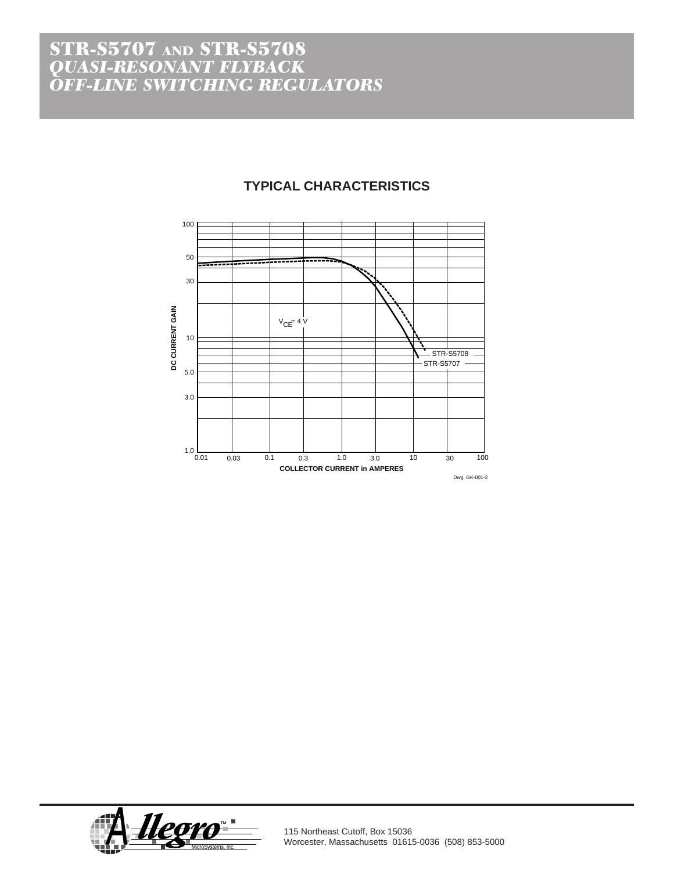### STR-S5707 AND STR-S5708 *QUASI-RESONANT FLYBACK OFF-LINE SWITCHING REGULATORS*

#### **TYPICAL CHARACTERISTICS**





115 Northeast Cutoff, Box 15036 Worcester, Massachusetts 01615-0036 (508) 853-5000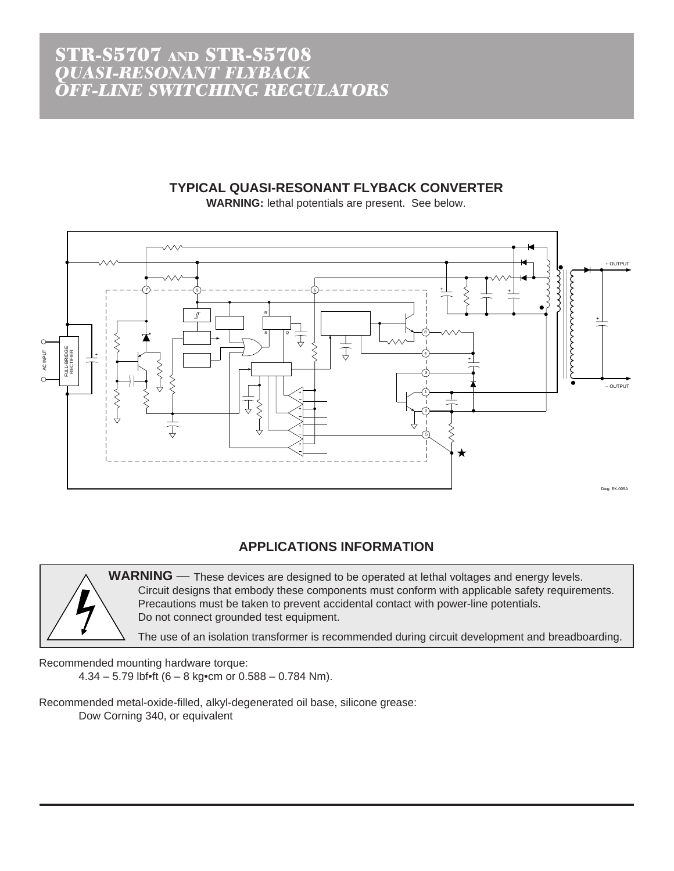#### **TYPICAL QUASI-RESONANT FLYBACK CONVERTER**

**WARNING:** lethal potentials are present. See below.



#### **APPLICATIONS INFORMATION**

**WARNING** — These devices are designed to be operated at lethal voltages and energy levels. Circuit designs that embody these components must conform with applicable safety requirements. Precautions must be taken to prevent accidental contact with power-line potentials. Do not connect grounded test equipment.

The use of an isolation transformer is recommended during circuit development and breadboarding.

Recommended mounting hardware torque: 4.34 – 5.79 lbf $\bullet$ ft (6 – 8 kg $\bullet$ cm or 0.588 – 0.784 Nm).

Recommended metal-oxide-filled, alkyl-degenerated oil base, silicone grease: Dow Corning 340, or equivalent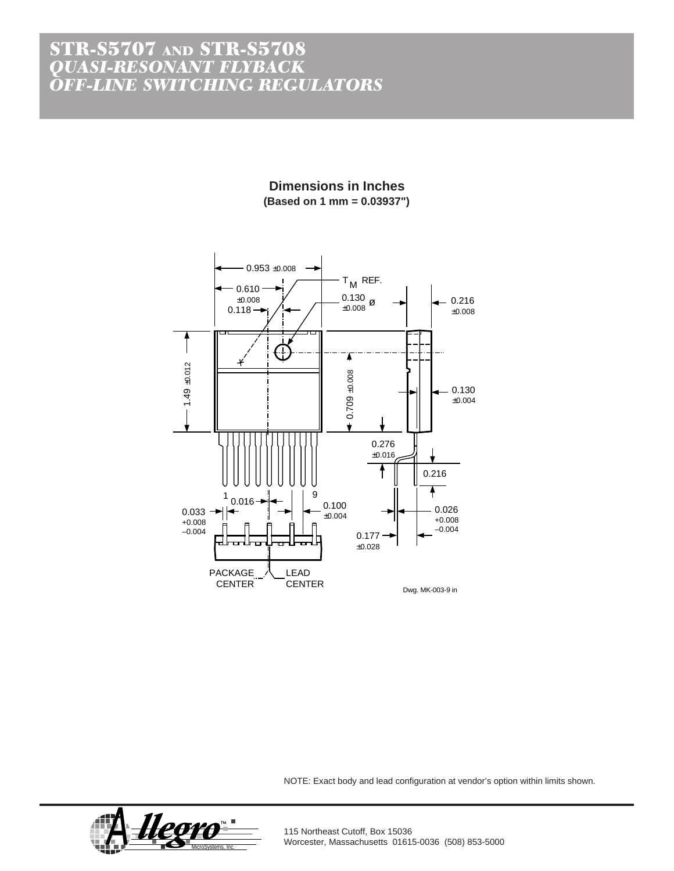### STR-S5707 AND STR-S5708 *QUASI-RESONANT FLYBACK OFF-LINE SWITCHING REGULATORS*

**Dimensions in Inches (Based on 1 mm = 0.03937")**



NOTE: Exact body and lead configuration at vendor's option within limits shown.



115 Northeast Cutoff, Box 15036 Worcester, Massachusetts 01615-0036 (508) 853-5000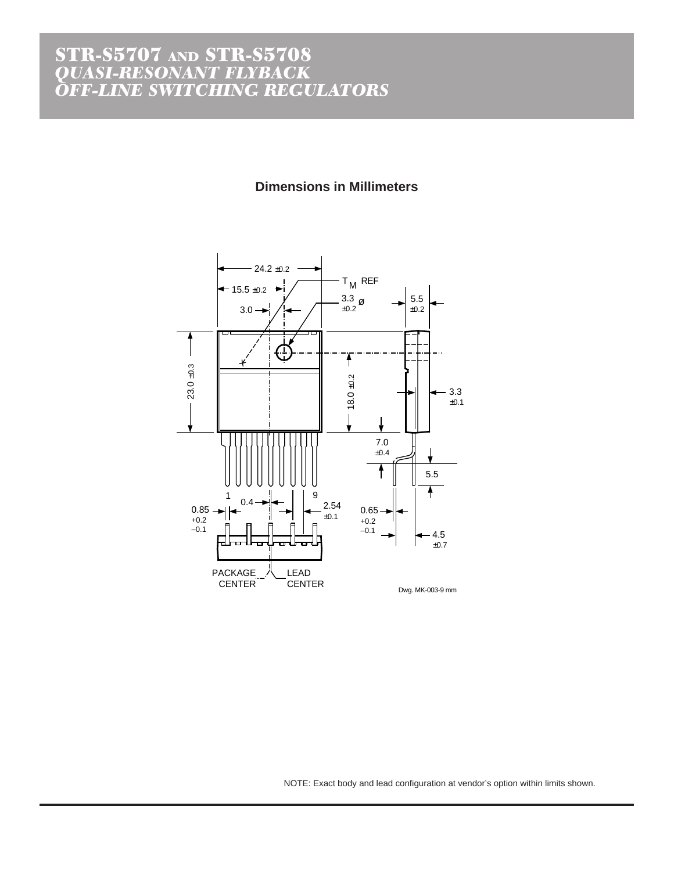#### STR-S5707 *QUASI-RESONANT FLYBACK OFF-LINE SWITCHING REGULATOR* STR-S5707 AND STR-S5708 *QUASI-RESONANT FLYBACK OFF-LINE SWITCHING REGULATORS*

#### **Dimensions in Millimeters**



NOTE: Exact body and lead configuration at vendor's option within limits shown.